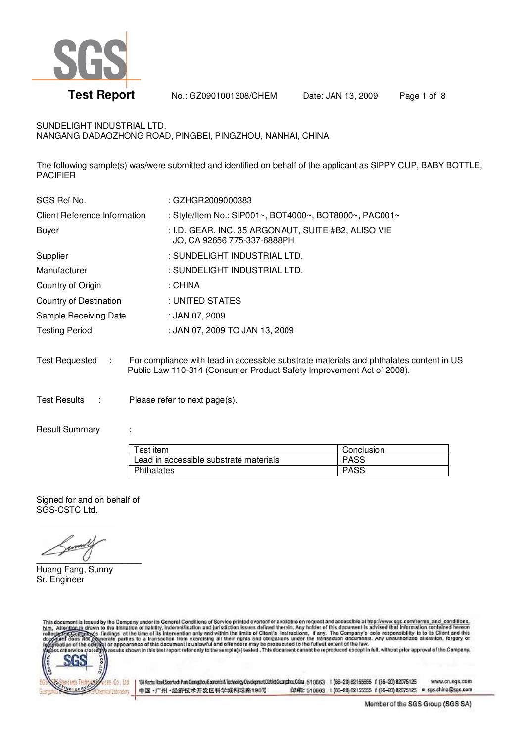

**Test Report** No.: GZ0901001308/CHEM Date: JAN 13, 2009 Page 1 of 8

### SUNDELIGHT INDUSTRIAL LTD.

NANGANG DADAOZHONG ROAD, PINGBEI, PINGZHOU, NANHAI, CHINA

The following sample(s) was/were submitted and identified on behalf of the applicant as SIPPY CUP, BABY BOTTLE, PACIFIER

| SGS Ref No.                  | : GZHGR2009000383                                                                  |
|------------------------------|------------------------------------------------------------------------------------|
| Client Reference Information | : Style/Item No.: SIP001~, BOT4000~, BOT8000~, PAC001~                             |
| <b>Buyer</b>                 | : I.D. GEAR. INC. 35 ARGONAUT, SUITE #B2, ALISO VIE<br>JO, CA 92656 775-337-6888PH |
| Supplier                     | : SUNDELIGHT INDUSTRIAL LTD.                                                       |
| Manufacturer                 | : SUNDELIGHT INDUSTRIAL LTD.                                                       |
| Country of Origin            | : CHINA                                                                            |
| Country of Destination       | : UNITED STATES                                                                    |
| Sample Receiving Date        | : JAN 07, 2009                                                                     |
| <b>Testing Period</b>        | : JAN 07, 2009 TO JAN 13, 2009                                                     |
|                              |                                                                                    |
|                              |                                                                                    |

Test Requested : For compliance with lead in accessible substrate materials and phthalates content in US Public Law 110-314 (Consumer Product Safety Improvement Act of 2008).

Test Results : Please refer to next page(s).

#### Result Summary :

| $\tau$ est item                        | Conclusion  |
|----------------------------------------|-------------|
| Lead in accessible substrate materials | <b>PASS</b> |
| Phthalates                             | <b>PASS</b> |

Signed for and on behalf of SGS-CSTC Ltd.

 $\overline{\phantom{a}}$ 

Huang Fang, Sunny Sr. Engineer

This document is issued by the Company under its General Conditions of Service printed overleaf or available on request and accessible at http://www.sgs.com/terms\_and\_conditions.<br>htm. Alte<u>ntion is</u> drawn to the limitation



193Kzztu Road, Sointech Park Gangsbou Economic & Technology Development District Guargathou China 510663 1 (66-20) 82155555 f (86-20) 82075125 www.cn.sgs.com 邮编: 510663 1 (86-20) 62155555 f (86-20) 82075125 e sgs.china@sgs.com 中国·广州·经济技术开发区科学城科珠路198号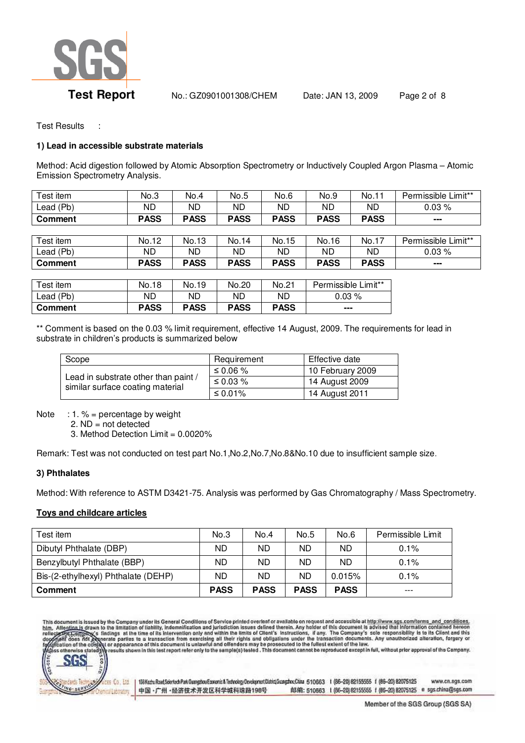

**Test Report** No.: GZ0901001308/CHEM Date: JAN 13, 2009 Page 2 of 8

Test Results :

### **1) Lead in accessible substrate materials**

Method: Acid digestion followed by Atomic Absorption Spectrometry or Inductively Coupled Argon Plasma – Atomic Emission Spectrometry Analysis.

| Test item      | No.3        | No.4        | No.5        | No.6        | No.9        | No.11       | Permissible Limit** |
|----------------|-------------|-------------|-------------|-------------|-------------|-------------|---------------------|
| Lead (Pb)      | ND.         | ND          | ND.         | ND          | ND          | <b>ND</b>   | 0.03%               |
| Comment        | <b>PASS</b> | <b>PASS</b> | <b>PASS</b> | <b>PASS</b> | <b>PASS</b> | <b>PASS</b> | ---                 |
|                |             |             |             |             |             |             |                     |
| Test item      | No.12       | No.13       | No.14       | No.15       | No.16       | No.17       | Permissible Limit** |
| Lead (Pb)      | ND.         | ND          | ND.         | <b>ND</b>   | ND          | ND          | 0.03%               |
| <b>Comment</b> | <b>PASS</b> | <b>PASS</b> | <b>PASS</b> | <b>PASS</b> | <b>PASS</b> | <b>PASS</b> | ---                 |
|                |             |             |             |             |             |             |                     |

| Test item                   | No.18       | No.19       | No.20       | No.21       | Permissible Limit** |
|-----------------------------|-------------|-------------|-------------|-------------|---------------------|
| $\text{\textsf{lead}}$ (Pb) | <b>ND</b>   | ND          | <b>ND</b>   | ND          | 0.03%               |
| Comment                     | <b>PASS</b> | <b>PASS</b> | <b>PASS</b> | <b>PASS</b> | $- - -$             |

\*\* Comment is based on the 0.03 % limit requirement, effective 14 August, 2009. The requirements for lead in substrate in children's products is summarized below

| Scope                                                                    | Requirement | Effective date   |  |
|--------------------------------------------------------------------------|-------------|------------------|--|
| Lead in substrate other than paint /<br>similar surface coating material | ≤ 0.06 %    | 10 February 2009 |  |
|                                                                          | ≤ 0.03 $%$  | 14 August 2009   |  |
|                                                                          | ≤ 0.01%     | 14 August 2011   |  |

Note : 1.  $%$  = percentage by weight

2. ND = not detected

3. Method Detection Limit = 0.0020%

Remark: Test was not conducted on test part No.1,No.2,No.7,No.8&No.10 due to insufficient sample size.

## **3) Phthalates**

Method: With reference to ASTM D3421-75. Analysis was performed by Gas Chromatography / Mass Spectrometry.

## **Toys and childcare articles**

| Test item                           | No.3        | No.4        | No.5        | No.6        | Permissible Limit |
|-------------------------------------|-------------|-------------|-------------|-------------|-------------------|
| Dibutyl Phthalate (DBP)             | ND.         | <b>ND</b>   | ND          | <b>ND</b>   | $0.1\%$           |
| Benzylbutyl Phthalate (BBP)         | ND.         | ND          | ND.         | <b>ND</b>   | 0.1%              |
| Bis-(2-ethylhexyl) Phthalate (DEHP) | ND.         | ND          | ND          | $0.015\%$   | 0.1%              |
| <b>Comment</b>                      | <b>PASS</b> | <b>PASS</b> | <b>PASS</b> | <b>PASS</b> | $---$             |

This document is issued by the Company under its General Conditions of Service printed overleaf or available on request and accessible at http://www.sgs.com/terms\_and\_conditions.<br>bim, Alte<u>ntion is</u> drawn to the limitation





193Kaztu Road, Sointech Park Guangshou Economic & Technology Development District Guangshou China 510663 1 (66-20) 82155555 f (86-20) 82075125 www.cn.sgs.com 中国·广州·经济技术开发区科学城科珠路198号 邮编: 510663 1 (86-20) 62155555 f (86-20) 82075125 e sgs.china@sgs.com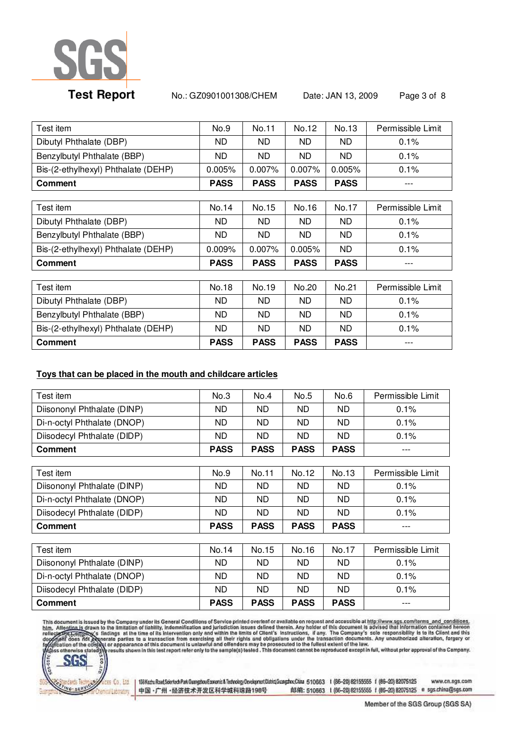

**Test Report** No.: GZ0901001308/CHEM Date: JAN 13, 2009 Page 3 of 8

| Test item                           | No.9        | No.11       | No.12       | No.13       | Permissible Limit |
|-------------------------------------|-------------|-------------|-------------|-------------|-------------------|
| Dibutyl Phthalate (DBP)             | ND.         | ND.         | ND.         | ND.         | 0.1%              |
| Benzylbutyl Phthalate (BBP)         | ND.         | ND.         | ND.         | ND.         | 0.1%              |
| Bis-(2-ethylhexyl) Phthalate (DEHP) | 0.005%      | 0.007%      | 0.007%      | 0.005%      | $0.1\%$           |
| Comment                             | <b>PASS</b> | <b>PASS</b> | <b>PASS</b> | <b>PASS</b> |                   |
|                                     |             |             |             |             |                   |
| Test item                           | No.14       | No.15       | No.16       | No.17       | Permissible Limit |
| Dibutyl Phthalate (DBP)             | ND.         | ND.         | ND.         | ND.         | 0.1%              |
| Benzylbutyl Phthalate (BBP)         | ND.         | ND.         | ND.         | ND.         | 0.1%              |
| Bis-(2-ethylhexyl) Phthalate (DEHP) | $0.009\%$   | 0.007%      | 0.005%      | ND          | 0.1%              |
| <b>Comment</b>                      | <b>PASS</b> | <b>PASS</b> | <b>PASS</b> | <b>PASS</b> |                   |
|                                     |             |             |             |             |                   |
| Test item                           | No.18       | No.19       | No.20       | No.21       | Permissible Limit |
| Dibutyl Phthalate (DBP)             | ND.         | ND.         | ND.         | ND.         | 0.1%              |
| Benzylbutyl Phthalate (BBP)         | ND.         | ND.         | ND.         | ND.         | 0.1%              |
| Bis-(2-ethylhexyl) Phthalate (DEHP) | ND.         | ND.         | ND          | ND          | 0.1%              |

**Comment 1.1 | PASS | PASS | PASS | PASS | PASS | PASS | PASS | PASS | PASS | PASS | PASS | PASS | PASS | PASS | PASS | PASS | PASS | PASS | PASS | PASS | PASS | PASS | PASS | PASS | PASS | PASS | PASS | PASS | PASS | PASS** 

## **Toys that can be placed in the mouth and childcare articles**

| Test item                   | No.3        | No.4        | No.5        | No.6        | Permissible Limit |
|-----------------------------|-------------|-------------|-------------|-------------|-------------------|
| Diisononyl Phthalate (DINP) | ND.         | ND.         | ND.         | ND.         | 0.1%              |
| Di-n-octyl Phthalate (DNOP) | ND          | ND.         | ND.         | ND.         | 0.1%              |
| Diisodecyl Phthalate (DIDP) | ND          | ND.         | ND.         | <b>ND</b>   | 0.1%              |
| <b>Comment</b>              | <b>PASS</b> | <b>PASS</b> | <b>PASS</b> | <b>PASS</b> | ---               |
|                             |             |             |             |             |                   |
| Test item                   | No.9        | No.11       | No.12       | No.13       | Permissible Limit |
| Diisononyl Phthalate (DINP) | ND          | ND.         | ND.         | ND.         | 0.1%              |
| Di-n-octyl Phthalate (DNOP) | ND          | ND.         | ND.         | <b>ND</b>   | 0.1%              |
| Diisodecyl Phthalate (DIDP) | ND          | ND.         | ND.         | ND.         | 0.1%              |
| <b>Comment</b>              | <b>PASS</b> | <b>PASS</b> | <b>PASS</b> | <b>PASS</b> |                   |
|                             |             |             |             |             |                   |
| Test item                   | No.14       | No.15       | No.16       | No.17       | Permissible Limit |
| Diisononyl Phthalate (DINP) | ND.         | ND.         | ND.         | ND.         | 0.1%              |
| Di-n-octyl Phthalate (DNOP) | ND          | ND.         | ND          | <b>ND</b>   | 0.1%              |

Diisodecyl Phthalate (DIDP)  $\vert$  ND  $\vert$  ND  $\vert$  ND  $\vert$  ND  $\vert$  0.1% **Comment PASS PASS PASS PASS** ---

This document is issued by the Company under its General Conditions of Service printed overleaf or available on request and accessible at http://www.sgs.com/terms\_and\_conditions.<br>htm. Alte<u>ntion is</u> drawn to the limitation





193Kaztu Road, Sointech Park Guangshou Economic & Technology Development District Guangshou China 510663 1 (66-20) 82155555 f (86-20) 82075125 www.cn.sgs.com 中国·广州·经济技术开发区科学城科珠路198号 邮编: 510663 1 (86-20) 62155555 f (86-20) 82075125 e sgs.china@sgs.com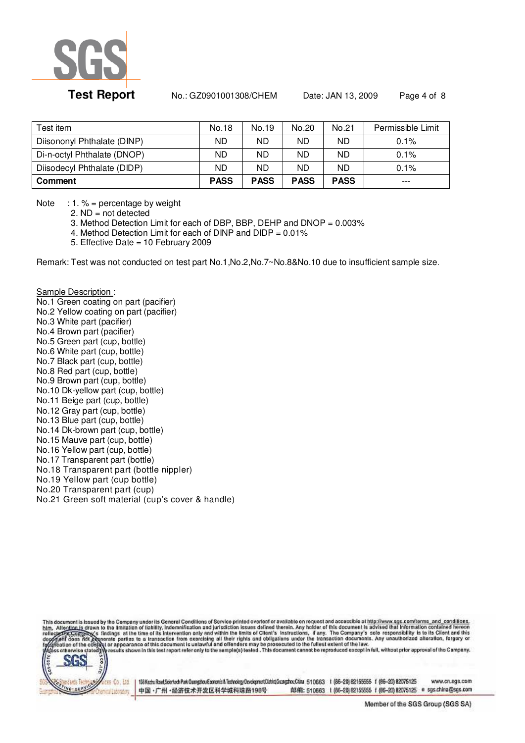

# **Test Report** No.: GZ0901001308/CHEM Date: JAN 13, 2009 Page 4 of 8

| Test item.                  | No.18       | No.19       | No.20       | No.21       | Permissible Limit |
|-----------------------------|-------------|-------------|-------------|-------------|-------------------|
| Diisononyl Phthalate (DINP) | ND.         | ND.         | <b>ND</b>   | ND.         | 0.1%              |
| Di-n-octyl Phthalate (DNOP) | ND.         | ND.         | ND.         | ND.         | 0.1%              |
| Diisodecyl Phthalate (DIDP) | ND          | ND          | ND          | ND.         | 0.1%              |
| <b>Comment</b>              | <b>PASS</b> | <b>PASS</b> | <b>PASS</b> | <b>PASS</b> | $---$             |

Note  $: 1. \% =$  percentage by weight

2.  $ND = not detected$ 

3. Method Detection Limit for each of DBP, BBP, DEHP and DNOP = 0.003%

4. Method Detection Limit for each of DINP and DIDP = 0.01%

5. Effective Date = 10 February 2009

Remark: Test was not conducted on test part No.1,No.2,No.7~No.8&No.10 due to insufficient sample size.

Sample Description : No.1 Green coating on part (pacifier) No.2 Yellow coating on part (pacifier) No.3 White part (pacifier) No.4 Brown part (pacifier) No.5 Green part (cup, bottle) No.6 White part (cup, bottle) No.7 Black part (cup, bottle) No.8 Red part (cup, bottle) No.9 Brown part (cup, bottle) No.10 Dk-yellow part (cup, bottle) No.11 Beige part (cup, bottle) No.12 Gray part (cup, bottle) No.13 Blue part (cup, bottle) No.14 Dk-brown part (cup, bottle) No.15 Mauve part (cup, bottle) No.16 Yellow part (cup, bottle) No.17 Transparent part (bottle) No.18 Transparent part (bottle nippler) No.19 Yellow part (cup bottle) No.20 Transparent part (cup) No.21 Green soft material (cup's cover & handle)

This document is issued by the Company under its General Conditions of Service printed overleaf or available on request and accessible at http://www.sgs.com/terms\_and\_conditions.<br>bim, Alte<u>ntion is</u> drawn to the limitation



193Kzztu Road, Sointech Park Gangsbou Economic & Technology Development District Guargathou China 510663 1 (66-20) 82155555 f (86-20) 82075125 www.cn.sgs.com 邮编: 510663 1 (86-20) 62155555 f (86-20) 82075125 e sgs.china@sgs.com 中国·广州·经济技术开发区科学城科珠路198号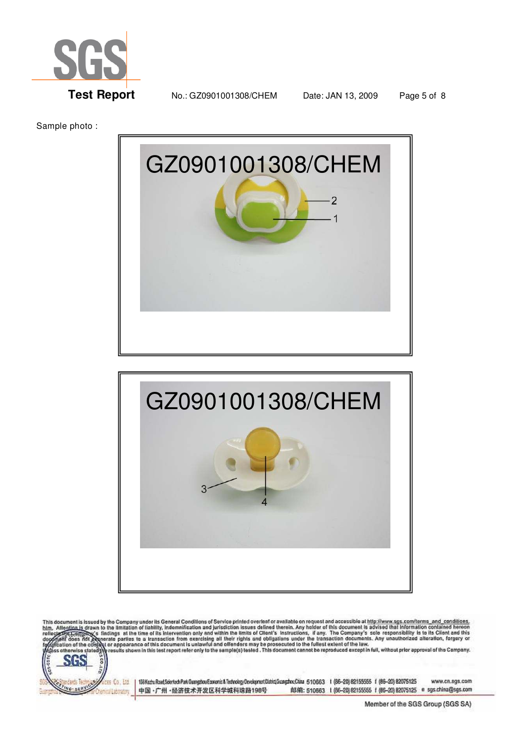

**Test Report** No.: GZ0901001308/CHEM Date: JAN 13, 2009 Page 5 of 8

Sample photo :





This document is issued by the Company under its General Conditions of Service printed overleaf or available on request and accessible at http://www.sgs.com/terms\_and\_conditions.<br>bim, Alte<u>ntion is</u> drawn to the limitation



193Kaztu Road, Sointech Park Guangshou Economic & Technology Development District Guangshou China 510663 1 (66-20) 82155555 f (86-20) 82075125 www.cn.sgs.com 中国·广州·经济技术开发区科学城科珠路198号 邮编: 510663 1 (66-20) 62155555 f (86-20) 82075125 e sgs.china@sgs.com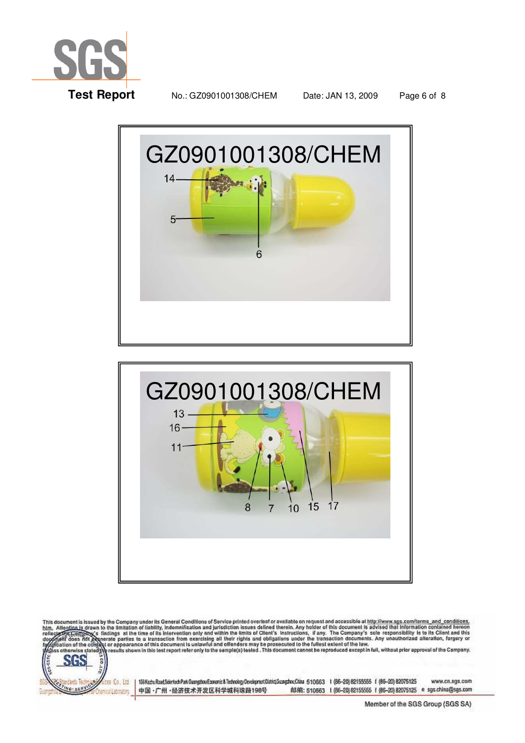

**Test Report** No.: GZ0901001308/CHEM Date: JAN 13, 2009 Page 6 of 8





This document is issued by the Company under its General Conditions of Service printed overleaf or available on request and accessible at http://www.sgs.com/terms\_and\_conditions\_<br>bim, Alte<u>ntion is</u> drawn to the limitation



193Kaztu Road, Sointech Park Guangshou Economic & Technology Development District Guangshou China 510663 1 (66-20) 82155555 f (86-20) 82075125 www.cn.sgs.com 邮编: 510663 1 (66-20) 62155555 f (86-20) 82075125 e sgs.china@sgs.com 中国·广州·经济技术开发区科学城科珠路198号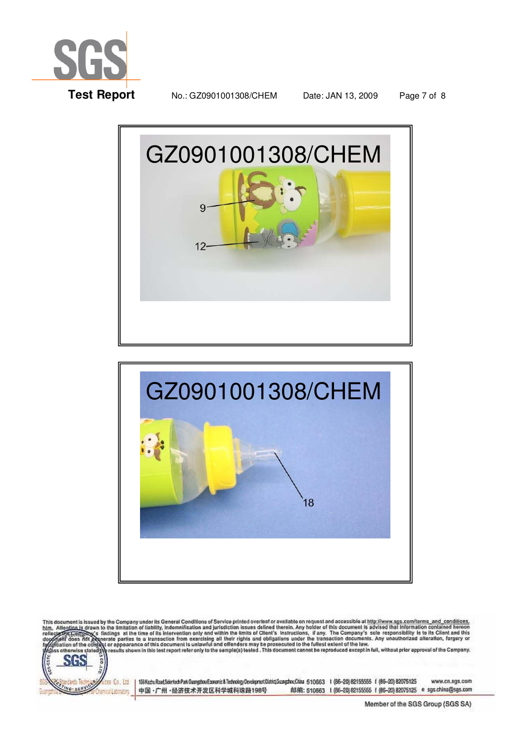

**Test Report** No.: GZ0901001308/CHEM Date: JAN 13, 2009 Page 7 of 8





This document is issued by the Company under its General Conditions of Service printed overleaf or available on request and accessible at http://www.sgs.com/terms\_and\_conditions\_<br>bim, Alte<u>ntion is</u> drawn to the limitation



193Kaztu Road, Sointech Park Guangshou Economic & Technology Development District Guangshou China 510663 1 (66-20) 82155555 f (86-20) 82075125 www.cn.sgs.com 中国·广州·经济技术开发区科学城科珠路198号 邮编: 510663 1 (66-20) 62155555 f (66-20) 82075125 e sgs.china@sgs.com